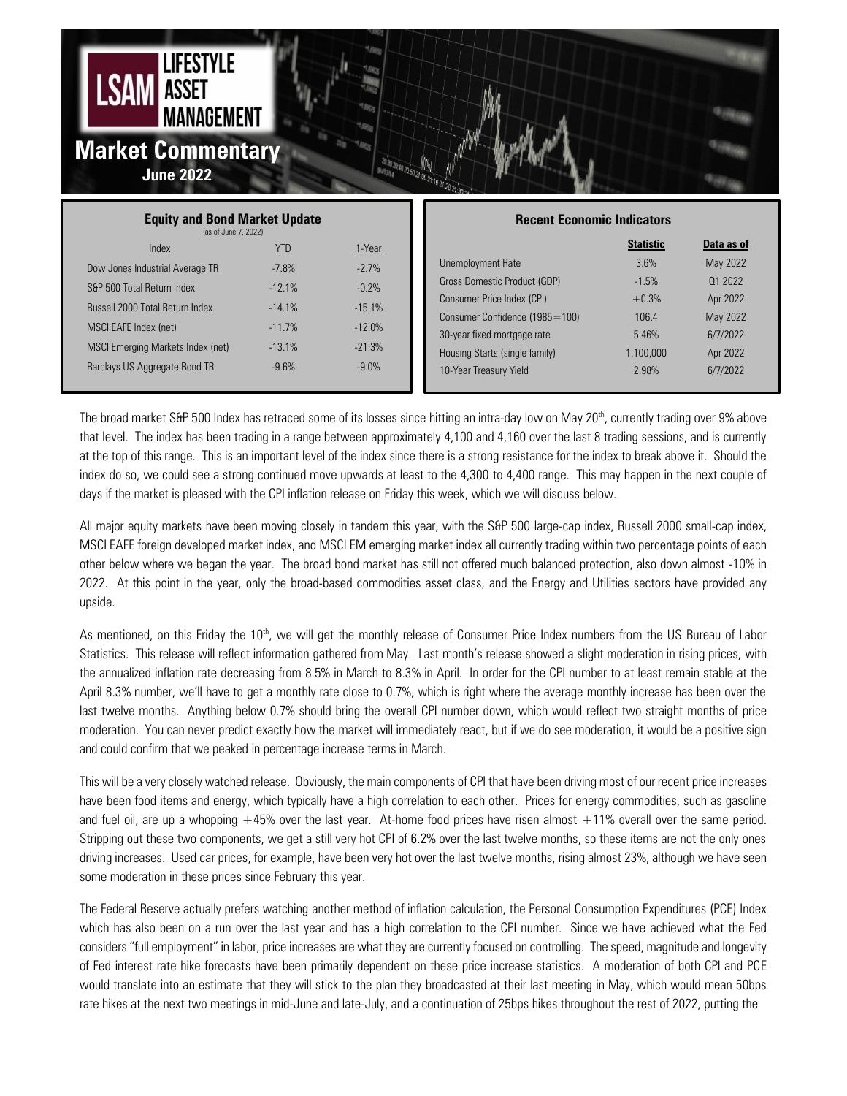

| <b>Equity and Bond Market Update</b><br>(as of June 7, 2022) |            |          | <b>Recent Economic Indicators</b> |                  |
|--------------------------------------------------------------|------------|----------|-----------------------------------|------------------|
| Index                                                        | <u>YTD</u> | 1-Year   |                                   | <b>Statistic</b> |
| Dow Jones Industrial Average TR                              | $-7.8%$    | $-2.7%$  | Unemployment Rate                 | 3.6%             |
| S&P 500 Total Return Index                                   | $-12.1%$   | $-0.2%$  | Gross Domestic Product (GDP)      | $-1.5%$          |
| <b>Russell 2000 Total Return Index</b>                       | $-14.1\%$  | $-15.1%$ | Consumer Price Index (CPI)        | $+0.3%$          |
|                                                              |            |          | Consumer Confidence (1985=100)    | 106.4            |
| MSCI EAFE Index (net)                                        | $-11.7%$   | $-12.0%$ | 30-year fixed mortgage rate       | 5.46%            |
| MSCI Emerging Markets Index (net)                            | $-13.1%$   | $-21.3%$ | Housing Starts (single family)    | 1.100.000        |
| Barclays US Aggregate Bond TR                                | $-9.6%$    | $-9.0\%$ | 10-Year Treasury Yield            | 2.98%            |
|                                                              |            |          |                                   |                  |

The broad market S&P 500 Index has retraced some of its losses since hitting an intra-day low on May 20<sup>th</sup>, currently trading over 9% above that level. The index has been trading in a range between approximately 4,100 and 4,160 over the last 8 trading sessions, and is currently at the top of this range. This is an important level of the index since there is a strong resistance for the index to break above it. Should the index do so, we could see a strong continued move upwards at least to the 4,300 to 4,400 range. This may happen in the next couple of days if the market is pleased with the CPI inflation release on Friday this week, which we will discuss below.

All major equity markets have been moving closely in tandem this year, with the S&P 500 large-cap index, Russell 2000 small-cap index, MSCI EAFE foreign developed market index, and MSCI EM emerging market index all currently trading within two percentage points of each other below where we began the year. The broad bond market has still not offered much balanced protection, also down almost -10% in 2022. At this point in the year, only the broad-based commodities asset class, and the Energy and Utilities sectors have provided any upside.

As mentioned, on this Friday the 10<sup>th</sup>, we will get the monthly release of Consumer Price Index numbers from the US Bureau of Labor Statistics. This release will reflect information gathered from May. Last month's release showed a slight moderation in rising prices, with the annualized inflation rate decreasing from 8.5% in March to 8.3% in April. In order for the CPI number to at least remain stable at the April 8.3% number, we'll have to get a monthly rate close to 0.7%, which is right where the average monthly increase has been over the last twelve months. Anything below 0.7% should bring the overall CPI number down, which would reflect two straight months of price moderation. You can never predict exactly how the market will immediately react, but if we do see moderation, it would be a positive sign and could confirm that we peaked in percentage increase terms in March.

This will be a very closely watched release. Obviously, the main components of CPI that have been driving most of our recent price increases have been food items and energy, which typically have a high correlation to each other. Prices for energy commodities, such as gasoline and fuel oil, are up a whopping  $+45%$  over the last year. At-home food prices have risen almost  $+11%$  overall over the same period. Stripping out these two components, we get a still very hot CPI of 6.2% over the last twelve months, so these items are not the only ones driving increases. Used car prices, for example, have been very hot over the last twelve months, rising almost 23%, although we have seen some moderation in these prices since February this year.

The Federal Reserve actually prefers watching another method of inflation calculation, the Personal Consumption Expenditures (PCE) Index which has also been on a run over the last year and has a high correlation to the CPI number. Since we have achieved what the Fed considers "full employment" in labor, price increases are what they are currently focused on controlling. The speed, magnitude and longevity of Fed interest rate hike forecasts have been primarily dependent on these price increase statistics. A moderation of both CPI and PCE would translate into an estimate that they will stick to the plan they broadcasted at their last meeting in May, which would mean 50bps rate hikes at the next two meetings in mid-June and late-July, and a continuation of 25bps hikes throughout the rest of 2022, putting the